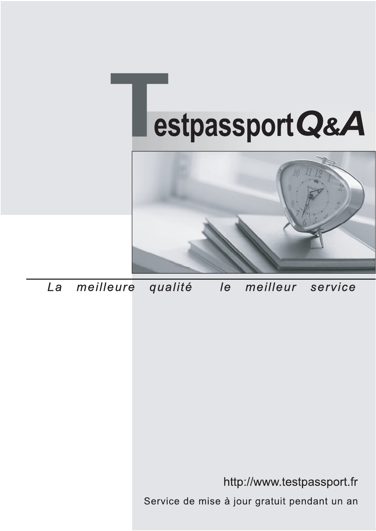



meilleure La qualité  $\overline{e}$ meilleur service

http://www.testpassport.fr

Service de mise à jour gratuit pendant un an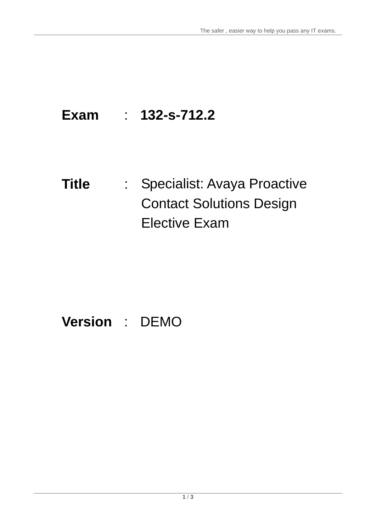# **Exam** : **132-s-712.2**

# **Title** : Specialist: Avaya Proactive Contact Solutions Design Elective Exam

## **Version** : DEMO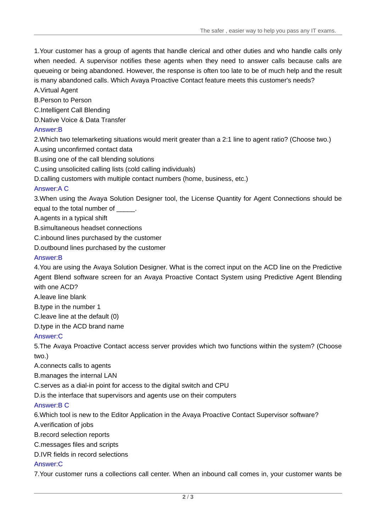The safer , easier way to help you pass any IT exams.

1.Your customer has a group of agents that handle clerical and other duties and who handle calls only when needed. A supervisor notifies these agents when they need to answer calls because calls are queueing or being abandoned. However, the response is often too late to be of much help and the result is many abandoned calls. Which Avaya Proactive Contact feature meets this customer's needs?

A.Virtual Agent

B.Person to Person

C.Intelligent Call Blending

D.Native Voice & Data Transfer

#### Answer:B

2.Which two telemarketing situations would merit greater than a 2:1 line to agent ratio? (Choose two.)

A.using unconfirmed contact data

B.using one of the call blending solutions

C.using unsolicited calling lists (cold calling individuals)

D.calling customers with multiple contact numbers (home, business, etc.)

#### Answer:A C

3.When using the Avaya Solution Designer tool, the License Quantity for Agent Connections should be equal to the total number of

A.agents in a typical shift

B.simultaneous headset connections

C.inbound lines purchased by the customer

D.outbound lines purchased by the customer

#### Answer:B

4.You are using the Avaya Solution Designer. What is the correct input on the ACD line on the Predictive Agent Blend software screen for an Avaya Proactive Contact System using Predictive Agent Blending with one ACD?

A.leave line blank

B.type in the number 1

C.leave line at the default (0)

D.type in the ACD brand name

#### Answer:C

5.The Avaya Proactive Contact access server provides which two functions within the system? (Choose two.)

A.connects calls to agents

B.manages the internal LAN

C.serves as a dial-in point for access to the digital switch and CPU

D.is the interface that supervisors and agents use on their computers

#### Answer:B C

6.Which tool is new to the Editor Application in the Avaya Proactive Contact Supervisor software?

A.verification of jobs

B.record selection reports

C.messages files and scripts

D.IVR fields in record selections

#### Answer:C

7.Your customer runs a collections call center. When an inbound call comes in, your customer wants be